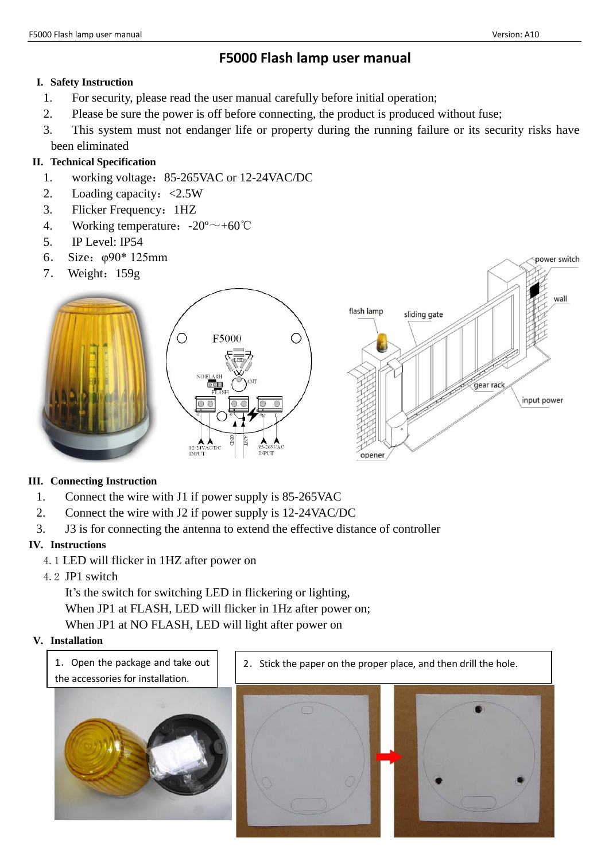power switch

# **F5000 Flash lamp user manual**

#### **I. Safety Instruction**

- 1. For security, please read the user manual carefully before initial operation;
- 2. Please be sure the power is off before connecting, the product is produced without fuse;
- 3. This system must not endanger life or property during the running failure or its security risks have been eliminated

## **II. Technical Specification**

- 1. working voltage:85-265VAC or 12-24VAC/DC
- 2. Loading capacity:<2.5W
- 3. Flicker Frequency:1HZ
- 4. Working temperature:  $-20^{\circ}$  +60°C
- 5. IP Level: IP54
- 6. Size:φ90\* 125mm
- 7. Weight:159g



### **III. Connecting Instruction**

- 1. Connect the wire with J1 if power supply is 85-265VAC
- 2. Connect the wire with J2 if power supply is 12-24VAC/DC
- 3. J3 is for connecting the antenna to extend the effective distance of controller

### **IV. Instructions**

- 4.1 LED will flicker in 1HZ after power on
- 4.2 JP1 switch

It's the switch for switching LED in flickering or lighting, When JP1 at FLASH, LED will flicker in 1Hz after power on; When JP1 at NO FLASH, LED will light after power on

### **V. Installation**

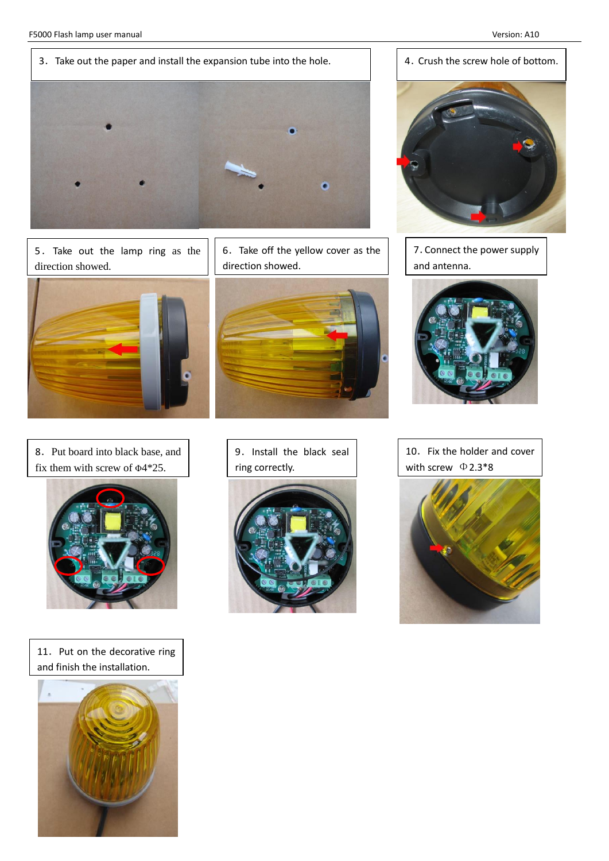

5.Take out the lamp ring as the direction showed.



8.Put board into black base, and fix them with screw of Φ4\*25.



11. Put on the decorative ring and finish the installation.



6.Take off the yellow cover as the direction showed.









7.Connect the power supply and antenna.



10. Fix the holder and cover with screw  $\Phi$ 2.3\*8

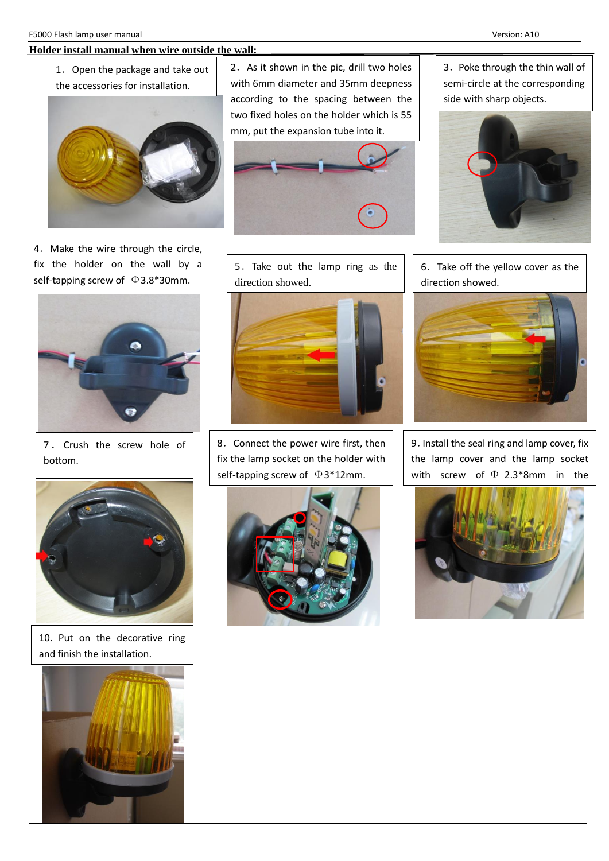